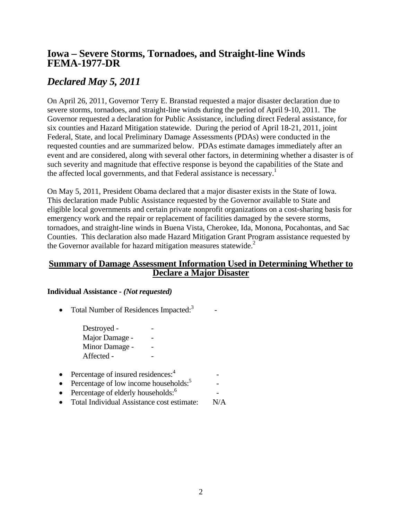## **Iowa – Severe Storms, Tornadoes, and Straight-line Winds FEMA-1977-DR**

# *Declared May 5, 2011*

On April 26, 2011, Governor Terry E. Branstad requested a major disaster declaration due to severe storms, tornadoes, and straight-line winds during the period of April 9-10, 2011. The Governor requested a declaration for Public Assistance, including direct Federal assistance, for six counties and Hazard Mitigation statewide. During the period of April 18-21, 2011, joint Federal, State, and local Preliminary Damage Assessments (PDAs) were conducted in the requested counties and are summarized below. PDAs estimate damages immediately after an event and are considered, along with several other factors, in determining whether a disaster is of such severity and magnitude that effective response is beyond the capabilities of the State and the affected local governments, and that Federal assistance is necessary.<sup>1</sup>

On May 5, 2011, President Obama declared that a major disaster exists in the State of Iowa. This declaration made Public Assistance requested by the Governor available to State and eligible local governments and certain private nonprofit organizations on a cost-sharing basis for emergency work and the repair or replacement of facilities damaged by the severe storms, tornadoes, and straight-line winds in Buena Vista, Cherokee, Ida, Monona, Pocahontas, and Sac Counties. This declaration also made Hazard Mitigation Grant Program assistance requested by the Governor available for hazard mitigation measures statewide. $2$ 

### **Summary of Damage Assessment Information Used in Determining Whether to Declare a Major Disaster**

### **Individual Assistance -** *(Not requested)*

• Total Number of Residences Impacted: $3$  $\sim$  -  $\sim$ 

> Destroyed -Major Damage -Minor Damage -Affected -

- Percentage of insured residences: $4$  $\mathcal{L}_{\text{max}}$  -  $\mathcal{L}_{\text{max}}$
- Percentage of low income households: $5$ -
- Percentage of elderly households: $6$  $\sim$  -  $\sim$   $\sim$   $\sim$   $\sim$
- Total Individual Assistance cost estimate: N/A